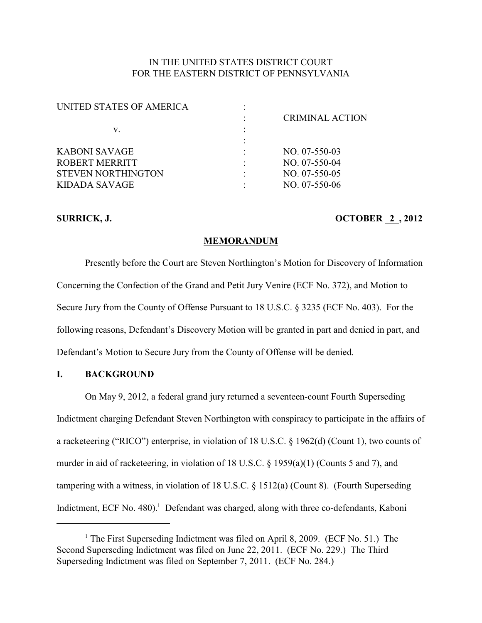## IN THE UNITED STATES DISTRICT COURT FOR THE EASTERN DISTRICT OF PENNSYLVANIA

| UNITED STATES OF AMERICA  |                        |
|---------------------------|------------------------|
|                           | <b>CRIMINAL ACTION</b> |
| v.                        |                        |
|                           |                        |
| KABONI SAVAGE             | $NO. 07-550-03$        |
| ROBERT MERRITT            | $NO. 07-550-04$        |
| <b>STEVEN NORTHINGTON</b> | $NO. 07-550-05$        |
| KIDADA SAVAGE             | $NO. 07-550-06$        |
|                           |                        |

### **SURRICK, J. COLLEGE AND SURRICK, J. 2012**

#### **MEMORANDUM**

Presently before the Court are Steven Northington's Motion for Discovery of Information Concerning the Confection of the Grand and Petit Jury Venire (ECF No. 372), and Motion to Secure Jury from the County of Offense Pursuant to 18 U.S.C. § 3235 (ECF No. 403). For the following reasons, Defendant's Discovery Motion will be granted in part and denied in part, and Defendant's Motion to Secure Jury from the County of Offense will be denied.

## **I. BACKGROUND**

On May 9, 2012, a federal grand jury returned a seventeen-count Fourth Superseding Indictment charging Defendant Steven Northington with conspiracy to participate in the affairs of a racketeering ("RICO") enterprise, in violation of 18 U.S.C. § 1962(d) (Count 1), two counts of murder in aid of racketeering, in violation of 18 U.S.C. § 1959(a)(1) (Counts 5 and 7), and tampering with a witness, in violation of 18 U.S.C. § 1512(a) (Count 8). (Fourth Superseding Indictment, ECF No. 480).<sup>1</sup> Defendant was charged, along with three co-defendants, Kaboni

<sup>&</sup>lt;sup>1</sup> The First Superseding Indictment was filed on April 8, 2009. (ECF No. 51.) The Second Superseding Indictment was filed on June 22, 2011. (ECF No. 229.) The Third Superseding Indictment was filed on September 7, 2011. (ECF No. 284.)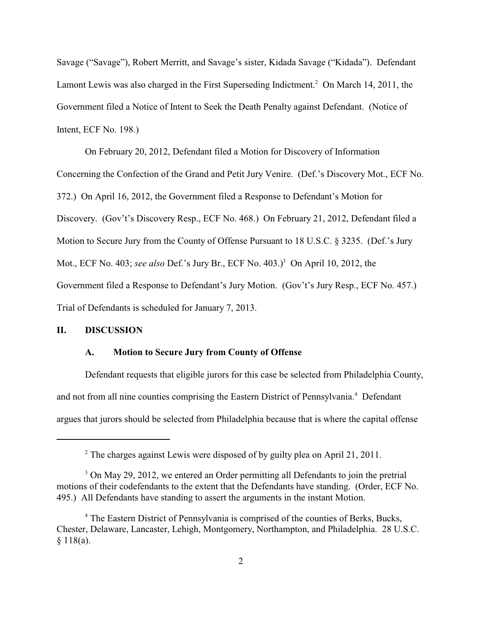Savage ("Savage"), Robert Merritt, and Savage's sister, Kidada Savage ("Kidada"). Defendant Lamont Lewis was also charged in the First Superseding Indictment.<sup>2</sup> On March 14, 2011, the Government filed a Notice of Intent to Seek the Death Penalty against Defendant. (Notice of Intent, ECF No. 198.)

On February 20, 2012, Defendant filed a Motion for Discovery of Information Concerning the Confection of the Grand and Petit Jury Venire. (Def.'s Discovery Mot., ECF No. 372.) On April 16, 2012, the Government filed a Response to Defendant's Motion for Discovery. (Gov't's Discovery Resp., ECF No. 468.) On February 21, 2012, Defendant filed a Motion to Secure Jury from the County of Offense Pursuant to 18 U.S.C. § 3235. (Def.'s Jury Mot., ECF No. 403; *see also* Def.'s Jury Br., ECF No. 403.)<sup>3</sup> On April 10, 2012, the Government filed a Response to Defendant's Jury Motion. (Gov't's Jury Resp., ECF No. 457.) Trial of Defendants is scheduled for January 7, 2013.

## **II. DISCUSSION**

### **A. Motion to Secure Jury from County of Offense**

Defendant requests that eligible jurors for this case be selected from Philadelphia County, and not from all nine counties comprising the Eastern District of Pennsylvania.<sup>4</sup> Defendant argues that jurors should be selected from Philadelphia because that is where the capital offense

 $2^{\circ}$  The charges against Lewis were disposed of by guilty plea on April 21, 2011.

<sup>&</sup>lt;sup>3</sup> On May 29, 2012, we entered an Order permitting all Defendants to join the pretrial motions of their codefendants to the extent that the Defendants have standing. (Order, ECF No. 495.) All Defendants have standing to assert the arguments in the instant Motion.

<sup>&</sup>lt;sup>4</sup> The Eastern District of Pennsylvania is comprised of the counties of Berks, Bucks, Chester, Delaware, Lancaster, Lehigh, Montgomery, Northampton, and Philadelphia. 28 U.S.C. § 118(a).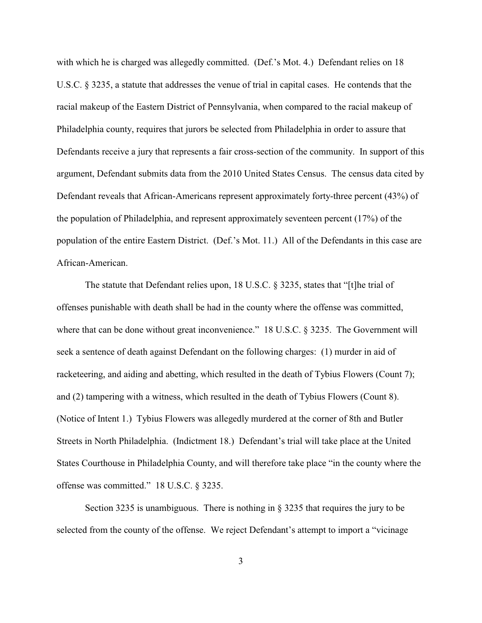with which he is charged was allegedly committed. (Def.'s Mot. 4.) Defendant relies on 18 U.S.C. § 3235, a statute that addresses the venue of trial in capital cases. He contends that the racial makeup of the Eastern District of Pennsylvania, when compared to the racial makeup of Philadelphia county, requires that jurors be selected from Philadelphia in order to assure that Defendants receive a jury that represents a fair cross-section of the community. In support of this argument, Defendant submits data from the 2010 United States Census. The census data cited by Defendant reveals that African-Americans represent approximately forty-three percent (43%) of the population of Philadelphia, and represent approximately seventeen percent (17%) of the population of the entire Eastern District. (Def.'s Mot. 11.) All of the Defendants in this case are African-American.

The statute that Defendant relies upon, 18 U.S.C. § 3235, states that "[t]he trial of offenses punishable with death shall be had in the county where the offense was committed, where that can be done without great inconvenience." 18 U.S.C. § 3235. The Government will seek a sentence of death against Defendant on the following charges: (1) murder in aid of racketeering, and aiding and abetting, which resulted in the death of Tybius Flowers (Count 7); and (2) tampering with a witness, which resulted in the death of Tybius Flowers (Count 8). (Notice of Intent 1.) Tybius Flowers was allegedly murdered at the corner of 8th and Butler Streets in North Philadelphia. (Indictment 18.) Defendant's trial will take place at the United States Courthouse in Philadelphia County, and will therefore take place "in the county where the offense was committed." 18 U.S.C. § 3235.

Section 3235 is unambiguous. There is nothing in  $\S$  3235 that requires the jury to be selected from the county of the offense. We reject Defendant's attempt to import a "vicinage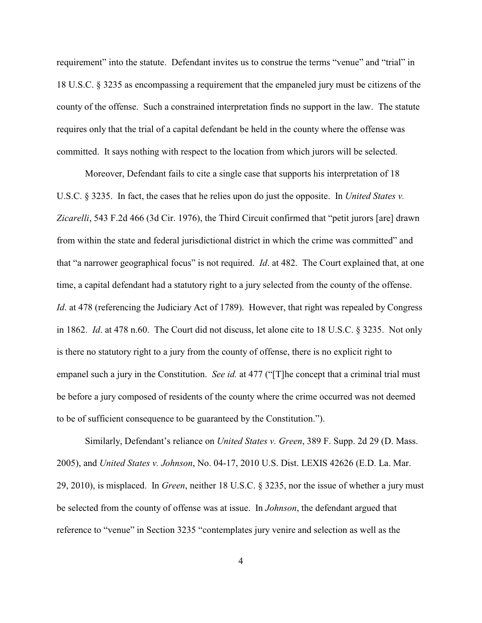requirement" into the statute. Defendant invites us to construe the terms "venue" and "trial" in 18 U.S.C. § 3235 as encompassing a requirement that the empaneled jury must be citizens of the county of the offense. Such a constrained interpretation finds no support in the law. The statute requires only that the trial of a capital defendant be held in the county where the offense was committed. It says nothing with respect to the location from which jurors will be selected.

Moreover, Defendant fails to cite a single case that supports his interpretation of 18 U.S.C. § 3235. In fact, the cases that he relies upon do just the opposite. In *United States v. Zicarelli*, 543 F.2d 466 (3d Cir. 1976), the Third Circuit confirmed that "petit jurors [are] drawn from within the state and federal jurisdictional district in which the crime was committed" and that "a narrower geographical focus" is not required. *Id*. at 482. The Court explained that, at one time, a capital defendant had a statutory right to a jury selected from the county of the offense. *Id.* at 478 (referencing the Judiciary Act of 1789). However, that right was repealed by Congress in 1862. *Id*. at 478 n.60. The Court did not discuss, let alone cite to 18 U.S.C. § 3235. Not only is there no statutory right to a jury from the county of offense, there is no explicit right to empanel such a jury in the Constitution. *See id.* at 477 ("[T]he concept that a criminal trial must be before a jury composed of residents of the county where the crime occurred was not deemed to be of sufficient consequence to be guaranteed by the Constitution.").

Similarly, Defendant's reliance on *United States v. Green*, 389 F. Supp. 2d 29 (D. Mass. 2005), and *United States v. Johnson*, No. 04-17, 2010 U.S. Dist. LEXIS 42626 (E.D. La. Mar. 29, 2010), is misplaced. In *Green*, neither 18 U.S.C. § 3235, nor the issue of whether a jury must be selected from the county of offense was at issue. In *Johnson*, the defendant argued that reference to "venue" in Section 3235 "contemplates jury venire and selection as well as the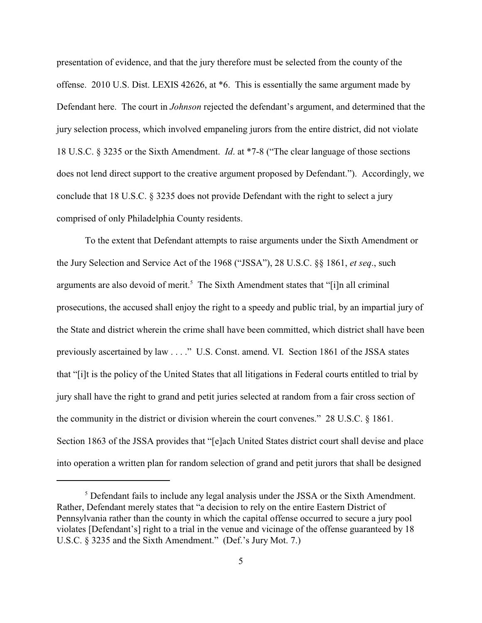presentation of evidence, and that the jury therefore must be selected from the county of the offense. 2010 U.S. Dist. LEXIS 42626, at \*6. This is essentially the same argument made by Defendant here. The court in *Johnson* rejected the defendant's argument, and determined that the jury selection process, which involved empaneling jurors from the entire district, did not violate 18 U.S.C. § 3235 or the Sixth Amendment. *Id*. at \*7-8 ("The clear language of those sections does not lend direct support to the creative argument proposed by Defendant."). Accordingly, we conclude that 18 U.S.C. § 3235 does not provide Defendant with the right to select a jury comprised of only Philadelphia County residents.

To the extent that Defendant attempts to raise arguments under the Sixth Amendment or the Jury Selection and Service Act of the 1968 ("JSSA"), 28 U.S.C. §§ 1861, *et seq*., such arguments are also devoid of merit.<sup>5</sup> The Sixth Amendment states that "[i]n all criminal prosecutions, the accused shall enjoy the right to a speedy and public trial, by an impartial jury of the State and district wherein the crime shall have been committed, which district shall have been previously ascertained by law . . . ." U.S. Const. amend. VI. Section 1861 of the JSSA states that "[i]t is the policy of the United States that all litigations in Federal courts entitled to trial by jury shall have the right to grand and petit juries selected at random from a fair cross section of the community in the district or division wherein the court convenes." 28 U.S.C. § 1861. Section 1863 of the JSSA provides that "[e]ach United States district court shall devise and place into operation a written plan for random selection of grand and petit jurors that shall be designed

<sup>&</sup>lt;sup>5</sup> Defendant fails to include any legal analysis under the JSSA or the Sixth Amendment. Rather, Defendant merely states that "a decision to rely on the entire Eastern District of Pennsylvania rather than the county in which the capital offense occurred to secure a jury pool violates [Defendant's] right to a trial in the venue and vicinage of the offense guaranteed by 18 U.S.C. § 3235 and the Sixth Amendment." (Def.'s Jury Mot. 7.)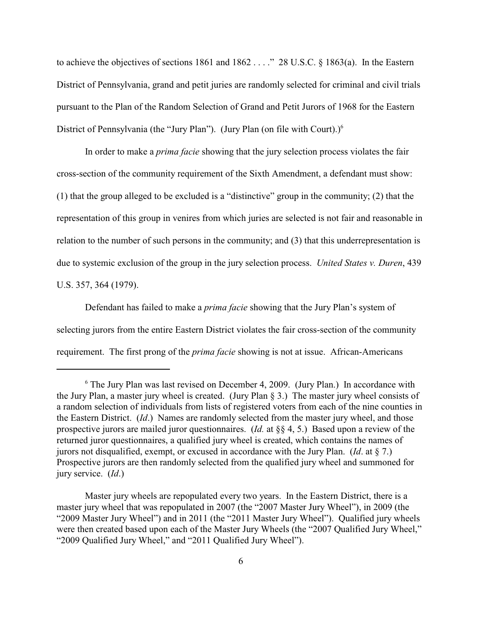to achieve the objectives of sections 1861 and 1862 . . . ." 28 U.S.C. § 1863(a). In the Eastern District of Pennsylvania, grand and petit juries are randomly selected for criminal and civil trials pursuant to the Plan of the Random Selection of Grand and Petit Jurors of 1968 for the Eastern District of Pennsylvania (the "Jury Plan"). (Jury Plan (on file with Court).)<sup>6</sup>

In order to make a *prima facie* showing that the jury selection process violates the fair cross-section of the community requirement of the Sixth Amendment, a defendant must show: (1) that the group alleged to be excluded is a "distinctive" group in the community; (2) that the representation of this group in venires from which juries are selected is not fair and reasonable in relation to the number of such persons in the community; and (3) that this underrepresentation is due to systemic exclusion of the group in the jury selection process. *United States v. Duren*, 439 U.S. 357, 364 (1979).

Defendant has failed to make a *prima facie* showing that the Jury Plan's system of selecting jurors from the entire Eastern District violates the fair cross-section of the community requirement. The first prong of the *prima facie* showing is not at issue. African-Americans

 $6$  The Jury Plan was last revised on December 4, 2009. (Jury Plan.) In accordance with the Jury Plan, a master jury wheel is created. (Jury Plan § 3.) The master jury wheel consists of a random selection of individuals from lists of registered voters from each of the nine counties in the Eastern District. (*Id*.) Names are randomly selected from the master jury wheel, and those prospective jurors are mailed juror questionnaires. (*Id.* at §§ 4, 5.) Based upon a review of the returned juror questionnaires, a qualified jury wheel is created, which contains the names of jurors not disqualified, exempt, or excused in accordance with the Jury Plan. (*Id*. at § 7.) Prospective jurors are then randomly selected from the qualified jury wheel and summoned for jury service. (*Id*.)

Master jury wheels are repopulated every two years. In the Eastern District, there is a master jury wheel that was repopulated in 2007 (the "2007 Master Jury Wheel"), in 2009 (the "2009 Master Jury Wheel") and in 2011 (the "2011 Master Jury Wheel"). Qualified jury wheels were then created based upon each of the Master Jury Wheels (the "2007 Qualified Jury Wheel," "2009 Qualified Jury Wheel," and "2011 Qualified Jury Wheel").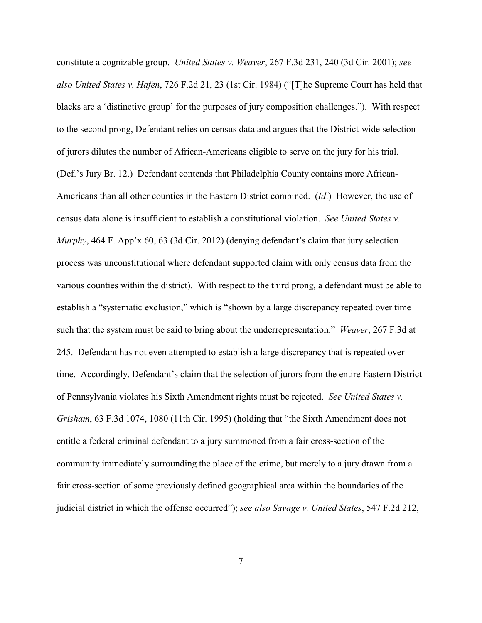constitute a cognizable group. *United States v. Weaver*, 267 F.3d 231, 240 (3d Cir. 2001); *see also United States v. Hafen*, 726 F.2d 21, 23 (1st Cir. 1984) ("[T]he Supreme Court has held that blacks are a 'distinctive group' for the purposes of jury composition challenges."). With respect to the second prong, Defendant relies on census data and argues that the District-wide selection of jurors dilutes the number of African-Americans eligible to serve on the jury for his trial. (Def.'s Jury Br. 12.) Defendant contends that Philadelphia County contains more African-Americans than all other counties in the Eastern District combined. (*Id*.) However, the use of census data alone is insufficient to establish a constitutional violation. *See United States v. Murphy*, 464 F. App'x 60, 63 (3d Cir. 2012) (denying defendant's claim that jury selection process was unconstitutional where defendant supported claim with only census data from the various counties within the district). With respect to the third prong, a defendant must be able to establish a "systematic exclusion," which is "shown by a large discrepancy repeated over time such that the system must be said to bring about the underrepresentation." *Weaver*, 267 F.3d at 245. Defendant has not even attempted to establish a large discrepancy that is repeated over time. Accordingly, Defendant's claim that the selection of jurors from the entire Eastern District of Pennsylvania violates his Sixth Amendment rights must be rejected. *See United States v. Grisham*, 63 F.3d 1074, 1080 (11th Cir. 1995) (holding that "the Sixth Amendment does not entitle a federal criminal defendant to a jury summoned from a fair cross-section of the community immediately surrounding the place of the crime, but merely to a jury drawn from a fair cross-section of some previously defined geographical area within the boundaries of the judicial district in which the offense occurred"); *see also Savage v. United States*, 547 F.2d 212,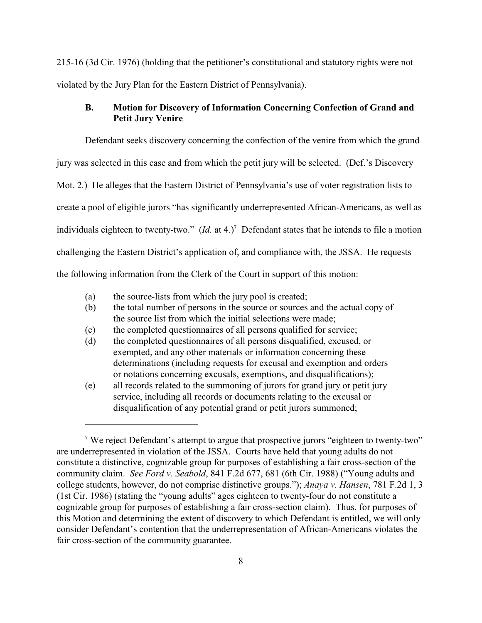215-16 (3d Cir. 1976) (holding that the petitioner's constitutional and statutory rights were not violated by the Jury Plan for the Eastern District of Pennsylvania).

## **B. Motion for Discovery of Information Concerning Confection of Grand and Petit Jury Venire**

Defendant seeks discovery concerning the confection of the venire from which the grand jury was selected in this case and from which the petit jury will be selected. (Def.'s Discovery Mot. 2*.*) He alleges that the Eastern District of Pennsylvania's use of voter registration lists to create a pool of eligible jurors "has significantly underrepresented African-Americans, as well as individuals eighteen to twenty-two."  $(Id.$  at 4.)<sup>7</sup> Defendant states that he intends to file a motion challenging the Eastern District's application of, and compliance with, the JSSA. He requests the following information from the Clerk of the Court in support of this motion:

- (a) the source-lists from which the jury pool is created;
- (b) the total number of persons in the source or sources and the actual copy of the source list from which the initial selections were made;
- (c) the completed questionnaires of all persons qualified for service;
- (d) the completed questionnaires of all persons disqualified, excused, or exempted, and any other materials or information concerning these determinations (including requests for excusal and exemption and orders or notations concerning excusals, exemptions, and disqualifications);
- (e) all records related to the summoning of jurors for grand jury or petit jury service, including all records or documents relating to the excusal or disqualification of any potential grand or petit jurors summoned;

<sup>&</sup>lt;sup>7</sup> We reject Defendant's attempt to argue that prospective jurors "eighteen to twenty-two" are underrepresented in violation of the JSSA. Courts have held that young adults do not constitute a distinctive, cognizable group for purposes of establishing a fair cross-section of the community claim. *See Ford v. Seabold*, 841 F.2d 677, 681 (6th Cir. 1988) ("Young adults and college students, however, do not comprise distinctive groups."); *Anaya v. Hansen*, 781 F.2d 1, 3 (1st Cir. 1986) (stating the "young adults" ages eighteen to twenty-four do not constitute a cognizable group for purposes of establishing a fair cross-section claim). Thus, for purposes of this Motion and determining the extent of discovery to which Defendant is entitled, we will only consider Defendant's contention that the underrepresentation of African-Americans violates the fair cross-section of the community guarantee.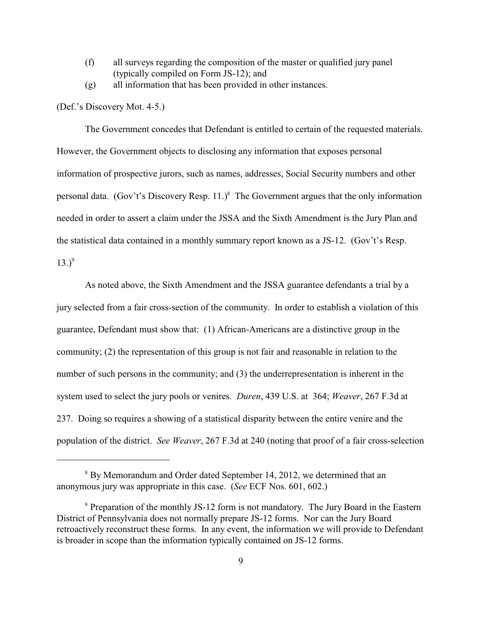- (f) all surveys regarding the composition of the master or qualified jury panel (typically compiled on Form JS-12); and
- (g) all information that has been provided in other instances.

(Def.'s Discovery Mot. 4-5.)

The Government concedes that Defendant is entitled to certain of the requested materials. However, the Government objects to disclosing any information that exposes personal information of prospective jurors, such as names, addresses, Social Security numbers and other personal data. (Gov't's Discovery Resp. 11.)<sup>8</sup> The Government argues that the only information needed in order to assert a claim under the JSSA and the Sixth Amendment is the Jury Plan and the statistical data contained in a monthly summary report known as a JS-12. (Gov't's Resp.  $(13.)^9$ 

As noted above, the Sixth Amendment and the JSSA guarantee defendants a trial by a jury selected from a fair cross-section of the community. In order to establish a violation of this guarantee, Defendant must show that: (1) African-Americans are a distinctive group in the community; (2) the representation of this group is not fair and reasonable in relation to the number of such persons in the community; and (3) the underrepresentation is inherent in the system used to select the jury pools or venires. *Duren*, 439 U.S. at 364; *Weaver*, 267 F.3d at 237. Doing so requires a showing of a statistical disparity between the entire venire and the population of the district. *See Weaver*, 267 F.3d at 240 (noting that proof of a fair cross-selection

<sup>&</sup>lt;sup>8</sup> By Memorandum and Order dated September 14, 2012, we determined that an anonymous jury was appropriate in this case. (*See* ECF Nos. 601, 602.)

 $9$  Preparation of the monthly JS-12 form is not mandatory. The Jury Board in the Eastern District of Pennsylvania does not normally prepare JS-12 forms. Nor can the Jury Board retroactively reconstruct these forms. In any event, the information we will provide to Defendant is broader in scope than the information typically contained on JS-12 forms.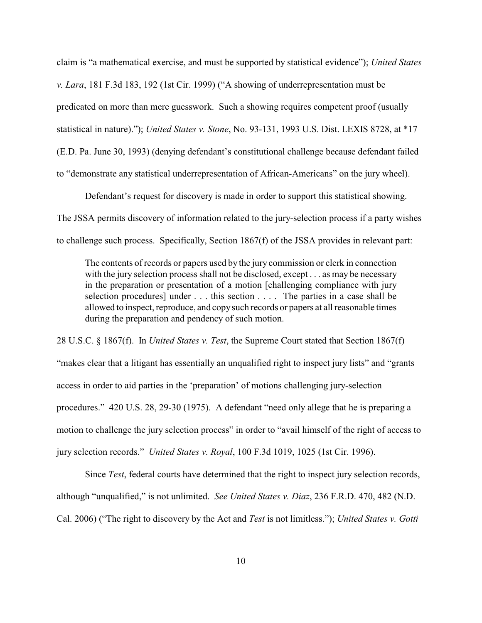claim is "a mathematical exercise, and must be supported by statistical evidence"); *United States v. Lara*, 181 F.3d 183, 192 (1st Cir. 1999) ("A showing of underrepresentation must be predicated on more than mere guesswork. Such a showing requires competent proof (usually statistical in nature)."); *United States v. Stone*, No. 93-131, 1993 U.S. Dist. LEXIS 8728, at \*17 (E.D. Pa. June 30, 1993) (denying defendant's constitutional challenge because defendant failed to "demonstrate any statistical underrepresentation of African-Americans" on the jury wheel).

Defendant's request for discovery is made in order to support this statistical showing. The JSSA permits discovery of information related to the jury-selection process if a party wishes to challenge such process. Specifically, Section 1867(f) of the JSSA provides in relevant part:

The contents of records or papers used by the jury commission or clerk in connection with the jury selection process shall not be disclosed, except . . . as may be necessary in the preparation or presentation of a motion [challenging compliance with jury selection procedures] under . . . this section . . . . The parties in a case shall be allowed to inspect, reproduce, and copy such records or papers at all reasonable times during the preparation and pendency of such motion.

28 U.S.C. § 1867(f). In *United States v. Test*, the Supreme Court stated that Section 1867(f) "makes clear that a litigant has essentially an unqualified right to inspect jury lists" and "grants access in order to aid parties in the 'preparation' of motions challenging jury-selection procedures." 420 U.S. 28, 29-30 (1975). A defendant "need only allege that he is preparing a motion to challenge the jury selection process" in order to "avail himself of the right of access to jury selection records." *United States v. Royal*, 100 F.3d 1019, 1025 (1st Cir. 1996).

Since *Test*, federal courts have determined that the right to inspect jury selection records, although "unqualified," is not unlimited. *See United States v. Diaz*, 236 F.R.D. 470, 482 (N.D. Cal. 2006) ("The right to discovery by the Act and *Test* is not limitless."); *United States v. Gotti*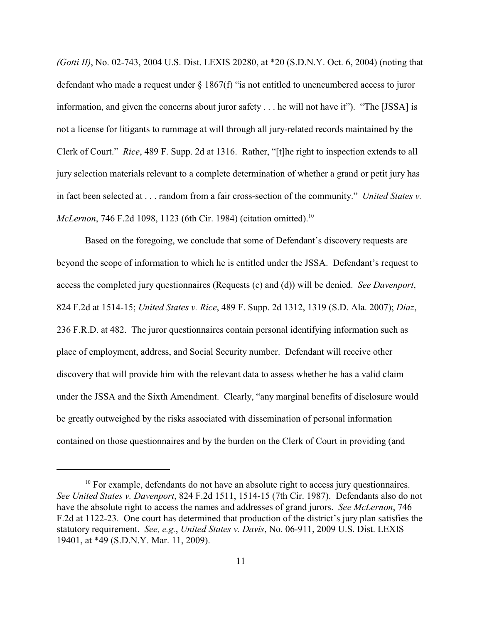*(Gotti II)*, No. 02-743, 2004 U.S. Dist. LEXIS 20280, at \*20 (S.D.N.Y. Oct. 6, 2004) (noting that defendant who made a request under  $\S 1867(f)$  "is not entitled to unencumbered access to juror information, and given the concerns about juror safety . . . he will not have it"). "The [JSSA] is not a license for litigants to rummage at will through all jury-related records maintained by the Clerk of Court." *Rice*, 489 F. Supp. 2d at 1316. Rather, "[t]he right to inspection extends to all jury selection materials relevant to a complete determination of whether a grand or petit jury has in fact been selected at . . . random from a fair cross-section of the community." *United States v. McLernon*, 746 F.2d 1098, 1123 (6th Cir. 1984) (citation omitted).<sup>10</sup>

Based on the foregoing, we conclude that some of Defendant's discovery requests are beyond the scope of information to which he is entitled under the JSSA. Defendant's request to access the completed jury questionnaires (Requests (c) and (d)) will be denied. *See Davenport*, 824 F.2d at 1514-15; *United States v. Rice*, 489 F. Supp. 2d 1312, 1319 (S.D. Ala. 2007); *Diaz*, 236 F.R.D. at 482. The juror questionnaires contain personal identifying information such as place of employment, address, and Social Security number. Defendant will receive other discovery that will provide him with the relevant data to assess whether he has a valid claim under the JSSA and the Sixth Amendment. Clearly, "any marginal benefits of disclosure would be greatly outweighed by the risks associated with dissemination of personal information contained on those questionnaires and by the burden on the Clerk of Court in providing (and

 $10$  For example, defendants do not have an absolute right to access jury questionnaires. *See United States v. Davenport*, 824 F.2d 1511, 1514-15 (7th Cir. 1987). Defendants also do not have the absolute right to access the names and addresses of grand jurors. *See McLernon*, 746 F.2d at 1122-23. One court has determined that production of the district's jury plan satisfies the statutory requirement. *See, e.g.*, *United States v. Davis*, No. 06-911, 2009 U.S. Dist. LEXIS 19401, at \*49 (S.D.N.Y. Mar. 11, 2009).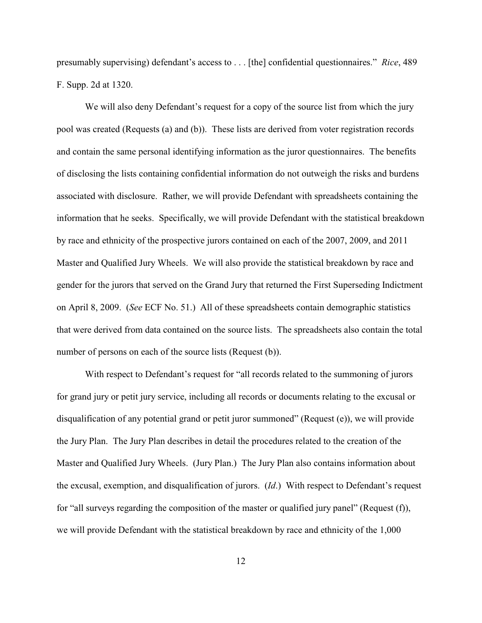presumably supervising) defendant's access to . . . [the] confidential questionnaires." *Rice*, 489 F. Supp. 2d at 1320.

We will also deny Defendant's request for a copy of the source list from which the jury pool was created (Requests (a) and (b)). These lists are derived from voter registration records and contain the same personal identifying information as the juror questionnaires. The benefits of disclosing the lists containing confidential information do not outweigh the risks and burdens associated with disclosure. Rather, we will provide Defendant with spreadsheets containing the information that he seeks. Specifically, we will provide Defendant with the statistical breakdown by race and ethnicity of the prospective jurors contained on each of the 2007, 2009, and 2011 Master and Qualified Jury Wheels. We will also provide the statistical breakdown by race and gender for the jurors that served on the Grand Jury that returned the First Superseding Indictment on April 8, 2009. (*See* ECF No. 51.) All of these spreadsheets contain demographic statistics that were derived from data contained on the source lists. The spreadsheets also contain the total number of persons on each of the source lists (Request (b)).

With respect to Defendant's request for "all records related to the summoning of jurors for grand jury or petit jury service, including all records or documents relating to the excusal or disqualification of any potential grand or petit juror summoned" (Request (e)), we will provide the Jury Plan. The Jury Plan describes in detail the procedures related to the creation of the Master and Qualified Jury Wheels. (Jury Plan.) The Jury Plan also contains information about the excusal, exemption, and disqualification of jurors. (*Id*.) With respect to Defendant's request for "all surveys regarding the composition of the master or qualified jury panel" (Request (f)), we will provide Defendant with the statistical breakdown by race and ethnicity of the 1,000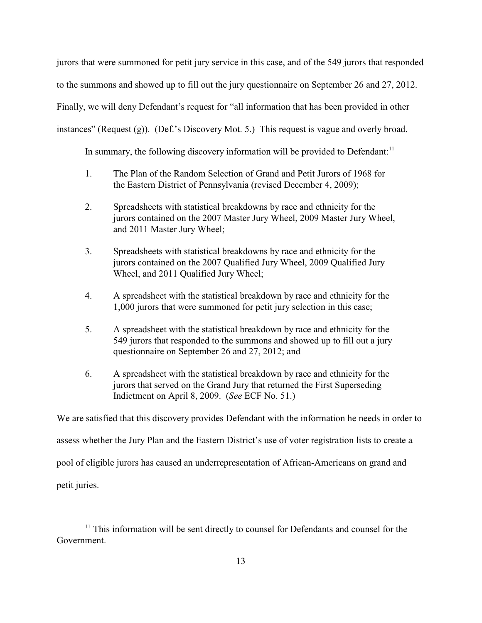jurors that were summoned for petit jury service in this case, and of the 549 jurors that responded to the summons and showed up to fill out the jury questionnaire on September 26 and 27, 2012. Finally, we will deny Defendant's request for "all information that has been provided in other instances" (Request (g)). (Def.'s Discovery Mot. 5.) This request is vague and overly broad.

In summary, the following discovery information will be provided to Defendant: $11$ 

- 1. The Plan of the Random Selection of Grand and Petit Jurors of 1968 for the Eastern District of Pennsylvania (revised December 4, 2009);
- 2. Spreadsheets with statistical breakdowns by race and ethnicity for the jurors contained on the 2007 Master Jury Wheel, 2009 Master Jury Wheel, and 2011 Master Jury Wheel;
- 3. Spreadsheets with statistical breakdowns by race and ethnicity for the jurors contained on the 2007 Qualified Jury Wheel, 2009 Qualified Jury Wheel, and 2011 Qualified Jury Wheel;
- 4. A spreadsheet with the statistical breakdown by race and ethnicity for the 1,000 jurors that were summoned for petit jury selection in this case;
- 5. A spreadsheet with the statistical breakdown by race and ethnicity for the 549 jurors that responded to the summons and showed up to fill out a jury questionnaire on September 26 and 27, 2012; and
- 6. A spreadsheet with the statistical breakdown by race and ethnicity for the jurors that served on the Grand Jury that returned the First Superseding Indictment on April 8, 2009. (*See* ECF No. 51.)

We are satisfied that this discovery provides Defendant with the information he needs in order to

assess whether the Jury Plan and the Eastern District's use of voter registration lists to create a

pool of eligible jurors has caused an underrepresentation of African-Americans on grand and

petit juries.

 $11$  This information will be sent directly to counsel for Defendants and counsel for the Government.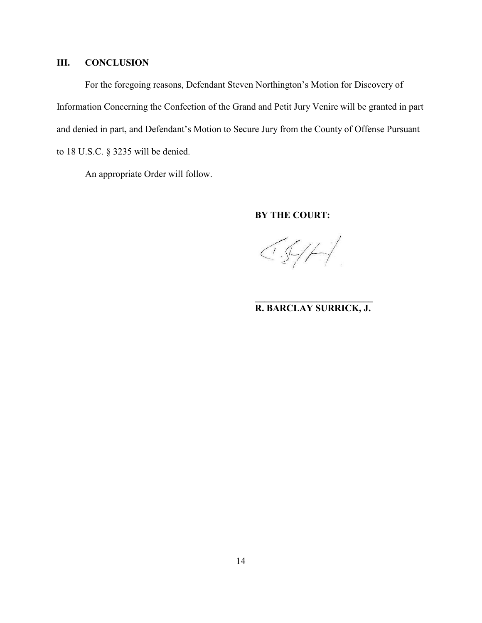# **III. CONCLUSION**

For the foregoing reasons, Defendant Steven Northington's Motion for Discovery of Information Concerning the Confection of the Grand and Petit Jury Venire will be granted in part and denied in part, and Defendant's Motion to Secure Jury from the County of Offense Pursuant to 18 U.S.C. § 3235 will be denied.

An appropriate Order will follow.

### **BY THE COURT:**

 $\left(\sqrt{2} + \frac{1}{2}\right)$ 

## **\_\_\_\_\_\_\_\_\_\_\_\_\_\_\_\_\_\_\_\_\_\_\_\_\_ R. BARCLAY SURRICK, J.**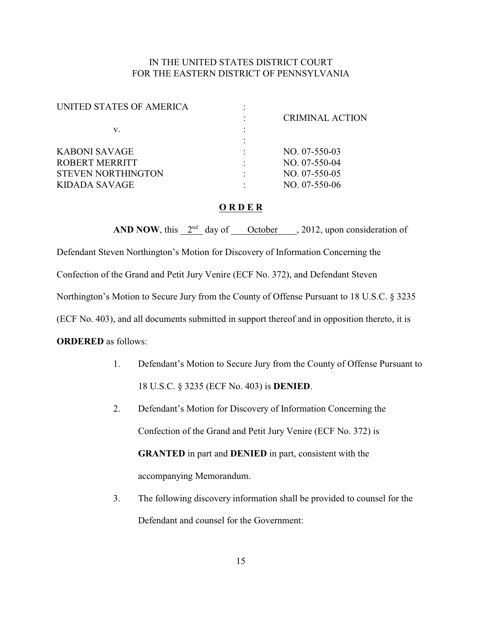## IN THE UNITED STATES DISTRICT COURT FOR THE EASTERN DISTRICT OF PENNSYLVANIA

| UNITED STATES OF AMERICA  |                        |
|---------------------------|------------------------|
|                           | <b>CRIMINAL ACTION</b> |
| v.                        |                        |
|                           |                        |
| KABONI SAVAGE             | $NO. 07-550-03$        |
| <b>ROBERT MERRITT</b>     | $NO. 07-550-04$        |
| <b>STEVEN NORTHINGTON</b> | $NO. 07-550-05$        |
| KIDADA SAVAGE             | $NO. 07-550-06$        |
|                           |                        |

## **O R D E R**

**AND NOW**, this  $2<sup>nd</sup>$  day of <u>Ctober</u>, 2012, upon consideration of

Defendant Steven Northington's Motion for Discovery of Information Concerning the

Confection of the Grand and Petit Jury Venire (ECF No. 372), and Defendant Steven

Northington's Motion to Secure Jury from the County of Offense Pursuant to 18 U.S.C. § 3235

(ECF No. 403), and all documents submitted in support thereof and in opposition thereto, it is

**ORDERED** as follows:

- 1. Defendant's Motion to Secure Jury from the County of Offense Pursuant to 18 U.S.C. § 3235 (ECF No. 403) is **DENIED**.
- 2. Defendant's Motion for Discovery of Information Concerning the Confection of the Grand and Petit Jury Venire (ECF No. 372) is **GRANTED** in part and **DENIED** in part, consistent with the accompanying Memorandum.
- 3. The following discovery information shall be provided to counsel for the Defendant and counsel for the Government: